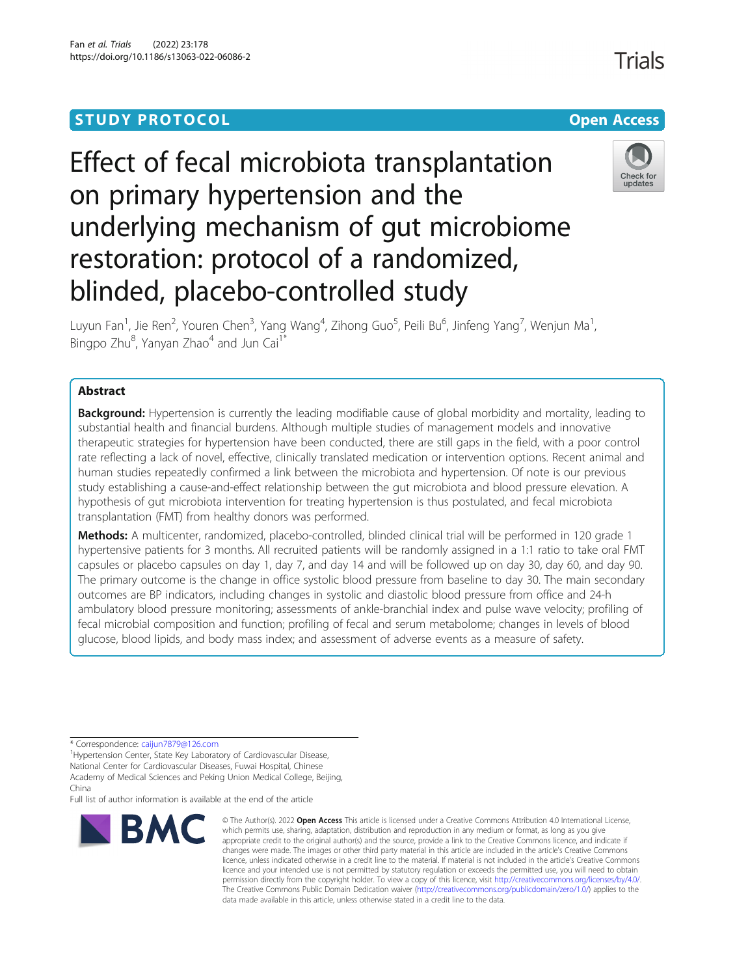# **STUDY PROTOCOL CONSUMING THE CONSUMING OPEN ACCESS**

# Effect of fecal microbiota transplantation on primary hypertension and the underlying mechanism of gut microbiome restoration: protocol of a randomized, blinded, placebo-controlled study

Check for

updates

Luyun Fan<sup>1</sup>, Jie Ren<sup>2</sup>, Youren Chen<sup>3</sup>, Yang Wang<sup>4</sup>, Zihong Guo<sup>5</sup>, Peili Bu<sup>6</sup>, Jinfeng Yang<sup>7</sup>, Wenjun Ma<sup>1</sup> , Bingpo Zhu<sup>8</sup>, Yanyan Zhao<sup>4</sup> and Jun Cai<sup>1\*</sup>

# Abstract

**Background:** Hypertension is currently the leading modifiable cause of global morbidity and mortality, leading to substantial health and financial burdens. Although multiple studies of management models and innovative therapeutic strategies for hypertension have been conducted, there are still gaps in the field, with a poor control rate reflecting a lack of novel, effective, clinically translated medication or intervention options. Recent animal and human studies repeatedly confirmed a link between the microbiota and hypertension. Of note is our previous study establishing a cause-and-effect relationship between the gut microbiota and blood pressure elevation. A hypothesis of gut microbiota intervention for treating hypertension is thus postulated, and fecal microbiota transplantation (FMT) from healthy donors was performed.

Methods: A multicenter, randomized, placebo-controlled, blinded clinical trial will be performed in 120 grade 1 hypertensive patients for 3 months. All recruited patients will be randomly assigned in a 1:1 ratio to take oral FMT capsules or placebo capsules on day 1, day 7, and day 14 and will be followed up on day 30, day 60, and day 90. The primary outcome is the change in office systolic blood pressure from baseline to day 30. The main secondary outcomes are BP indicators, including changes in systolic and diastolic blood pressure from office and 24-h ambulatory blood pressure monitoring; assessments of ankle-branchial index and pulse wave velocity; profiling of fecal microbial composition and function; profiling of fecal and serum metabolome; changes in levels of blood glucose, blood lipids, and body mass index; and assessment of adverse events as a measure of safety.

\* Correspondence: [caijun7879@126.com](mailto:caijun7879@126.com) <sup>1</sup>

<sup>1</sup> Hypertension Center, State Key Laboratory of Cardiovascular Disease, National Center for Cardiovascular Diseases, Fuwai Hospital, Chinese Academy of Medical Sciences and Peking Union Medical College, Beijing,

China Full list of author information is available at the end of the article

BMC

© The Author(s), 2022 **Open Access** This article is licensed under a Creative Commons Attribution 4.0 International License, which permits use, sharing, adaptation, distribution and reproduction in any medium or format, as long as you give appropriate credit to the original author(s) and the source, provide a link to the Creative Commons licence, and indicate if changes were made. The images or other third party material in this article are included in the article's Creative Commons licence, unless indicated otherwise in a credit line to the material. If material is not included in the article's Creative Commons licence and your intended use is not permitted by statutory regulation or exceeds the permitted use, you will need to obtain permission directly from the copyright holder. To view a copy of this licence, visit [http://creativecommons.org/licenses/by/4.0/.](http://creativecommons.org/licenses/by/4.0/) The Creative Commons Public Domain Dedication waiver [\(http://creativecommons.org/publicdomain/zero/1.0/](http://creativecommons.org/publicdomain/zero/1.0/)) applies to the data made available in this article, unless otherwise stated in a credit line to the data.

# **Trials**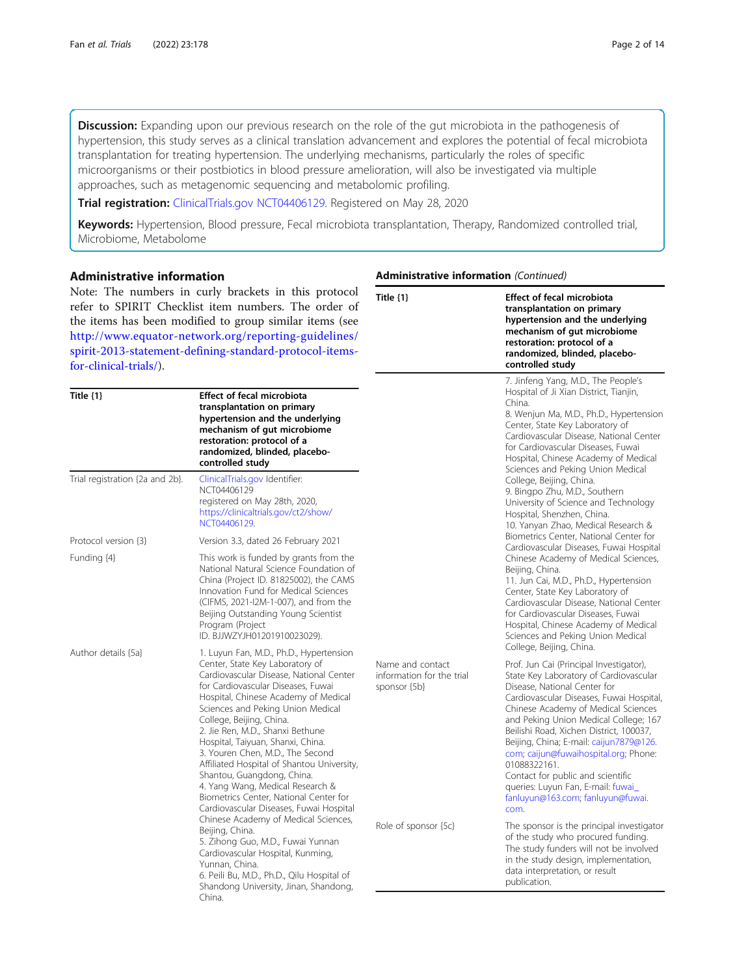**Discussion:** Expanding upon our previous research on the role of the gut microbiota in the pathogenesis of hypertension, this study serves as a clinical translation advancement and explores the potential of fecal microbiota transplantation for treating hypertension. The underlying mechanisms, particularly the roles of specific microorganisms or their postbiotics in blood pressure amelioration, will also be investigated via multiple approaches, such as metagenomic sequencing and metabolomic profiling.

Trial registration: [ClinicalTrials.gov](http://clinicaltrials.gov) [NCT04406129](https://clinicaltrials.gov/ct2/show/NCT04406129). Registered on May 28, 2020

Keywords: Hypertension, Blood pressure, Fecal microbiota transplantation, Therapy, Randomized controlled trial, Microbiome, Metabolome

| <b>Administrative information</b><br>Note: The numbers in curly brackets in this protocol<br>refer to SPIRIT Checklist item numbers. The order of<br>the items has been modified to group similar items (see<br>http://www.equator-network.org/reporting-guidelines/<br>spirit-2013-statement-defining-standard-protocol-items-<br>for-clinical-trials/). |                                                                                                                                                                                                                                                                                                                                                                                                                                                                                                                                                                                     | <b>Administrative information (Continued)</b>                 |                                                                                                                                                                                                                                                                                                                                                                                                                                                                                                                      |  |  |  |  |
|-----------------------------------------------------------------------------------------------------------------------------------------------------------------------------------------------------------------------------------------------------------------------------------------------------------------------------------------------------------|-------------------------------------------------------------------------------------------------------------------------------------------------------------------------------------------------------------------------------------------------------------------------------------------------------------------------------------------------------------------------------------------------------------------------------------------------------------------------------------------------------------------------------------------------------------------------------------|---------------------------------------------------------------|----------------------------------------------------------------------------------------------------------------------------------------------------------------------------------------------------------------------------------------------------------------------------------------------------------------------------------------------------------------------------------------------------------------------------------------------------------------------------------------------------------------------|--|--|--|--|
|                                                                                                                                                                                                                                                                                                                                                           |                                                                                                                                                                                                                                                                                                                                                                                                                                                                                                                                                                                     | Title $\{1\}$                                                 | <b>Effect of fecal microbiota</b><br>transplantation on primary<br>hypertension and the underlying<br>mechanism of gut microbiome<br>restoration: protocol of a<br>randomized, blinded, placebo-<br>controlled study                                                                                                                                                                                                                                                                                                 |  |  |  |  |
| Title $\{1\}$                                                                                                                                                                                                                                                                                                                                             | <b>Effect of fecal microbiota</b><br>transplantation on primary<br>hypertension and the underlying<br>mechanism of gut microbiome<br>restoration: protocol of a<br>randomized, blinded, placebo-<br>controlled study                                                                                                                                                                                                                                                                                                                                                                |                                                               | 7. Jinfeng Yang, M.D., The People's<br>Hospital of Ji Xian District, Tianjin,<br>China.<br>8. Wenjun Ma, M.D., Ph.D., Hypertension<br>Center, State Key Laboratory of<br>Cardiovascular Disease, National Center<br>for Cardiovascular Diseases, Fuwai<br>Hospital, Chinese Academy of Medical<br>Sciences and Peking Union Medical                                                                                                                                                                                  |  |  |  |  |
| Trial registration {2a and 2b}.                                                                                                                                                                                                                                                                                                                           | ClinicalTrials.gov Identifier:<br>NCT04406129<br>registered on May 28th, 2020,<br>https://clinicaltrials.gov/ct2/show/<br>NCT04406129.                                                                                                                                                                                                                                                                                                                                                                                                                                              |                                                               | College, Beijing, China.<br>9. Bingpo Zhu, M.D., Southern<br>University of Science and Technology<br>Hospital, Shenzhen, China.<br>10. Yanyan Zhao, Medical Research &                                                                                                                                                                                                                                                                                                                                               |  |  |  |  |
| Protocol version {3}                                                                                                                                                                                                                                                                                                                                      | Version 3.3, dated 26 February 2021                                                                                                                                                                                                                                                                                                                                                                                                                                                                                                                                                 |                                                               | Biometrics Center, National Center for<br>Cardiovascular Diseases, Fuwai Hospital                                                                                                                                                                                                                                                                                                                                                                                                                                    |  |  |  |  |
| Funding {4}<br>Author details {5a}                                                                                                                                                                                                                                                                                                                        | This work is funded by grants from the<br>National Natural Science Foundation of<br>China (Project ID. 81825002), the CAMS<br>Innovation Fund for Medical Sciences<br>(CIFMS, 2021-I2M-1-007), and from the<br>Beijing Outstanding Young Scientist<br>Program (Project<br>ID. BJJWZYJH01201910023029).<br>1. Luyun Fan, M.D., Ph.D., Hypertension                                                                                                                                                                                                                                   |                                                               | Chinese Academy of Medical Sciences,<br>Beijing, China.<br>11. Jun Cai, M.D., Ph.D., Hypertension<br>Center, State Key Laboratory of<br>Cardiovascular Disease, National Center<br>for Cardiovascular Diseases, Fuwai<br>Hospital, Chinese Academy of Medical<br>Sciences and Peking Union Medical<br>College, Beijing, China.                                                                                                                                                                                       |  |  |  |  |
|                                                                                                                                                                                                                                                                                                                                                           | Center, State Key Laboratory of<br>Cardiovascular Disease, National Center<br>for Cardiovascular Diseases, Fuwai<br>Hospital, Chinese Academy of Medical<br>Sciences and Peking Union Medical<br>College, Beijing, China.<br>2. Jie Ren, M.D., Shanxi Bethune<br>Hospital, Taiyuan, Shanxi, China.<br>3. Youren Chen, M.D., The Second<br>Affiliated Hospital of Shantou University,<br>Shantou, Guangdong, China.<br>4. Yang Wang, Medical Research &<br>Biometrics Center, National Center for<br>Cardiovascular Diseases, Fuwai Hospital<br>Chinese Academy of Medical Sciences, | Name and contact<br>information for the trial<br>sponsor {5b} | Prof. Jun Cai (Principal Investigator),<br>State Key Laboratory of Cardiovascular<br>Disease, National Center for<br>Cardiovascular Diseases, Fuwai Hospital,<br>Chinese Academy of Medical Sciences<br>and Peking Union Medical College; 167<br>Beilishi Road, Xichen District, 100037,<br>Beijing, China; E-mail: caijun7879@126.<br>com; caijun@fuwaihospital.org; Phone:<br>01088322161.<br>Contact for public and scientific<br>queries: Luyun Fan, E-mail: fuwai_<br>fanluyun@163.com; fanluyun@fuwai.<br>com. |  |  |  |  |
|                                                                                                                                                                                                                                                                                                                                                           | Beijing, China.<br>5. Zihong Guo, M.D., Fuwai Yunnan<br>Cardiovascular Hospital, Kunming,<br>Yunnan, China.<br>6. Peili Bu, M.D., Ph.D., Qilu Hospital of<br>Shandong University, Jinan, Shandong,<br>China.                                                                                                                                                                                                                                                                                                                                                                        | Role of sponsor {5c}                                          | The sponsor is the principal investigator<br>of the study who procured funding.<br>The study funders will not be involved<br>in the study design, implementation,<br>data interpretation, or result<br>publication.                                                                                                                                                                                                                                                                                                  |  |  |  |  |

#### Administrative information (Continued)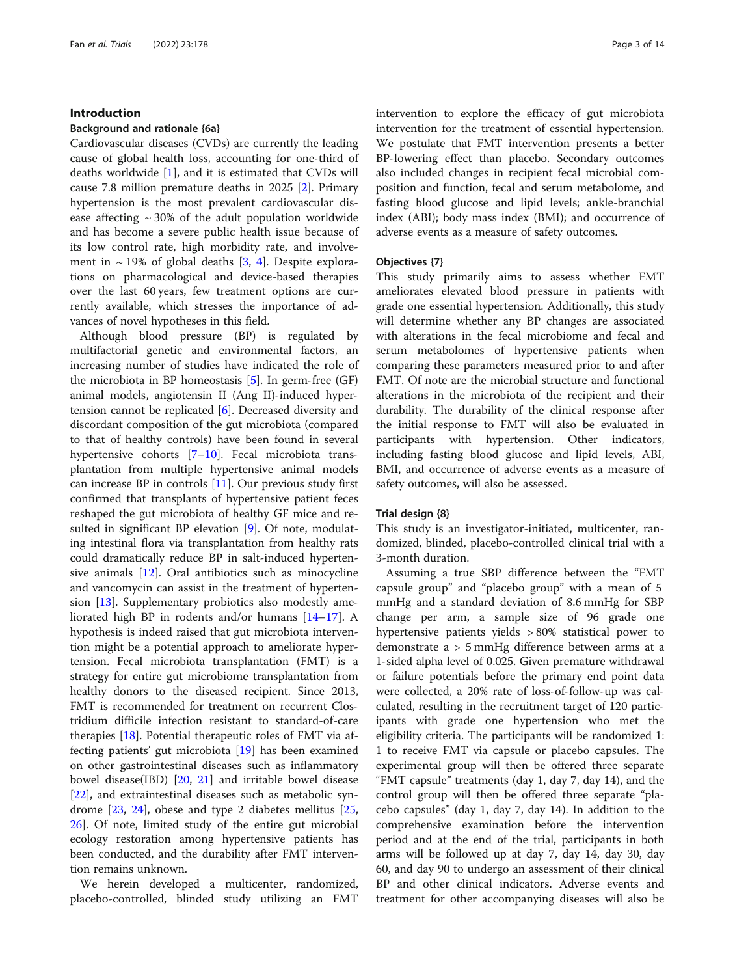#### Introduction

#### Background and rationale {6a}

Cardiovascular diseases (CVDs) are currently the leading cause of global health loss, accounting for one-third of deaths worldwide [\[1](#page-12-0)], and it is estimated that CVDs will cause 7.8 million premature deaths in 2025 [\[2](#page-12-0)]. Primary hypertension is the most prevalent cardiovascular disease affecting  $\sim$  30% of the adult population worldwide and has become a severe public health issue because of its low control rate, high morbidity rate, and involvement in  $\sim$  19% of global deaths [[3,](#page-12-0) [4\]](#page-12-0). Despite explorations on pharmacological and device-based therapies over the last 60 years, few treatment options are currently available, which stresses the importance of advances of novel hypotheses in this field.

Although blood pressure (BP) is regulated by multifactorial genetic and environmental factors, an increasing number of studies have indicated the role of the microbiota in BP homeostasis [[5\]](#page-12-0). In germ-free (GF) animal models, angiotensin II (Ang II)-induced hypertension cannot be replicated [[6\]](#page-12-0). Decreased diversity and discordant composition of the gut microbiota (compared to that of healthy controls) have been found in several hypertensive cohorts [\[7](#page-12-0)–[10\]](#page-12-0). Fecal microbiota transplantation from multiple hypertensive animal models can increase BP in controls [\[11](#page-12-0)]. Our previous study first confirmed that transplants of hypertensive patient feces reshaped the gut microbiota of healthy GF mice and resulted in significant BP elevation [[9\]](#page-12-0). Of note, modulating intestinal flora via transplantation from healthy rats could dramatically reduce BP in salt-induced hypertensive animals [[12](#page-12-0)]. Oral antibiotics such as minocycline and vancomycin can assist in the treatment of hypertension [[13](#page-12-0)]. Supplementary probiotics also modestly ameliorated high BP in rodents and/or humans [\[14](#page-12-0)–[17](#page-12-0)]. A hypothesis is indeed raised that gut microbiota intervention might be a potential approach to ameliorate hypertension. Fecal microbiota transplantation (FMT) is a strategy for entire gut microbiome transplantation from healthy donors to the diseased recipient. Since 2013, FMT is recommended for treatment on recurrent Clostridium difficile infection resistant to standard-of-care therapies [[18\]](#page-12-0). Potential therapeutic roles of FMT via affecting patients' gut microbiota  $[19]$  $[19]$  has been examined on other gastrointestinal diseases such as inflammatory bowel disease(IBD) [[20,](#page-12-0) [21](#page-12-0)] and irritable bowel disease [[22\]](#page-12-0), and extraintestinal diseases such as metabolic syndrome [\[23](#page-12-0), [24](#page-12-0)], obese and type 2 diabetes mellitus [[25](#page-12-0), [26\]](#page-12-0). Of note, limited study of the entire gut microbial ecology restoration among hypertensive patients has been conducted, and the durability after FMT intervention remains unknown.

We herein developed a multicenter, randomized, placebo-controlled, blinded study utilizing an FMT

intervention to explore the efficacy of gut microbiota intervention for the treatment of essential hypertension. We postulate that FMT intervention presents a better BP-lowering effect than placebo. Secondary outcomes also included changes in recipient fecal microbial composition and function, fecal and serum metabolome, and fasting blood glucose and lipid levels; ankle-branchial index (ABI); body mass index (BMI); and occurrence of adverse events as a measure of safety outcomes.

#### Objectives {7}

This study primarily aims to assess whether FMT ameliorates elevated blood pressure in patients with grade one essential hypertension. Additionally, this study will determine whether any BP changes are associated with alterations in the fecal microbiome and fecal and serum metabolomes of hypertensive patients when comparing these parameters measured prior to and after FMT. Of note are the microbial structure and functional alterations in the microbiota of the recipient and their durability. The durability of the clinical response after the initial response to FMT will also be evaluated in participants with hypertension. Other indicators, including fasting blood glucose and lipid levels, ABI, BMI, and occurrence of adverse events as a measure of safety outcomes, will also be assessed.

#### Trial design {8}

This study is an investigator-initiated, multicenter, randomized, blinded, placebo-controlled clinical trial with a 3-month duration.

Assuming a true SBP difference between the "FMT capsule group" and "placebo group" with a mean of 5 mmHg and a standard deviation of 8.6 mmHg for SBP change per arm, a sample size of 96 grade one hypertensive patients yields > 80% statistical power to demonstrate a > 5 mmHg difference between arms at a 1-sided alpha level of 0.025. Given premature withdrawal or failure potentials before the primary end point data were collected, a 20% rate of loss-of-follow-up was calculated, resulting in the recruitment target of 120 participants with grade one hypertension who met the eligibility criteria. The participants will be randomized 1: 1 to receive FMT via capsule or placebo capsules. The experimental group will then be offered three separate "FMT capsule" treatments (day 1, day 7, day 14), and the control group will then be offered three separate "placebo capsules" (day 1, day 7, day 14). In addition to the comprehensive examination before the intervention period and at the end of the trial, participants in both arms will be followed up at day 7, day 14, day 30, day 60, and day 90 to undergo an assessment of their clinical BP and other clinical indicators. Adverse events and treatment for other accompanying diseases will also be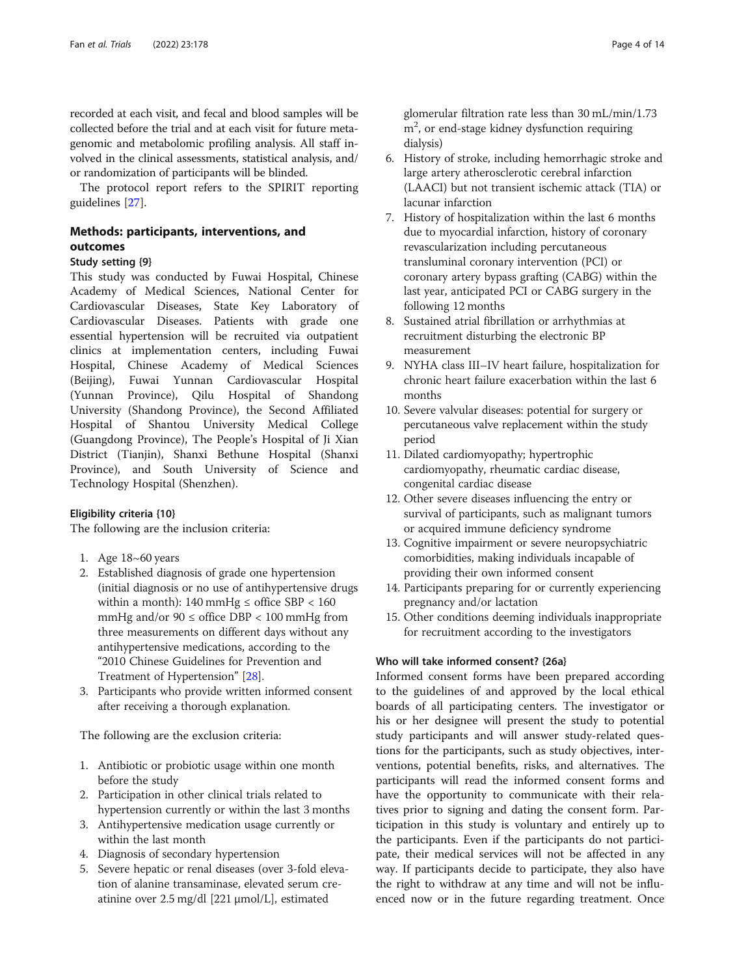recorded at each visit, and fecal and blood samples will be collected before the trial and at each visit for future metagenomic and metabolomic profiling analysis. All staff involved in the clinical assessments, statistical analysis, and/ or randomization of participants will be blinded.

The protocol report refers to the SPIRIT reporting guidelines [[27](#page-12-0)].

# Methods: participants, interventions, and outcomes

#### Study setting {9}

This study was conducted by Fuwai Hospital, Chinese Academy of Medical Sciences, National Center for Cardiovascular Diseases, State Key Laboratory of Cardiovascular Diseases. Patients with grade one essential hypertension will be recruited via outpatient clinics at implementation centers, including Fuwai Hospital, Chinese Academy of Medical Sciences (Beijing), Fuwai Yunnan Cardiovascular Hospital (Yunnan Province), Qilu Hospital of Shandong University (Shandong Province), the Second Affiliated Hospital of Shantou University Medical College (Guangdong Province), The People's Hospital of Ji Xian District (Tianjin), Shanxi Bethune Hospital (Shanxi Province), and South University of Science and Technology Hospital (Shenzhen).

#### Eligibility criteria {10}

The following are the inclusion criteria:

- 1. Age 18~60 years
- 2. Established diagnosis of grade one hypertension (initial diagnosis or no use of antihypertensive drugs within a month): 140 mmHg  $\leq$  office SBP  $<$  160 mmHg and/or  $90 \leq$  office DBP < 100 mmHg from three measurements on different days without any antihypertensive medications, according to the "2010 Chinese Guidelines for Prevention and Treatment of Hypertension" [\[28\]](#page-12-0).
- 3. Participants who provide written informed consent after receiving a thorough explanation.

The following are the exclusion criteria:

- 1. Antibiotic or probiotic usage within one month before the study
- 2. Participation in other clinical trials related to hypertension currently or within the last 3 months
- 3. Antihypertensive medication usage currently or within the last month
- 4. Diagnosis of secondary hypertension
- 5. Severe hepatic or renal diseases (over 3-fold elevation of alanine transaminase, elevated serum creatinine over 2.5 mg/dl [221 μmol/L], estimated

glomerular filtration rate less than 30 mL/min/1.73 m<sup>2</sup>, or end-stage kidney dysfunction requiring dialysis)

- 6. History of stroke, including hemorrhagic stroke and large artery atherosclerotic cerebral infarction (LAACI) but not transient ischemic attack (TIA) or lacunar infarction
- 7. History of hospitalization within the last 6 months due to myocardial infarction, history of coronary revascularization including percutaneous transluminal coronary intervention (PCI) or coronary artery bypass grafting (CABG) within the last year, anticipated PCI or CABG surgery in the following 12 months
- 8. Sustained atrial fibrillation or arrhythmias at recruitment disturbing the electronic BP measurement
- 9. NYHA class III–IV heart failure, hospitalization for chronic heart failure exacerbation within the last 6 months
- 10. Severe valvular diseases: potential for surgery or percutaneous valve replacement within the study period
- 11. Dilated cardiomyopathy; hypertrophic cardiomyopathy, rheumatic cardiac disease, congenital cardiac disease
- 12. Other severe diseases influencing the entry or survival of participants, such as malignant tumors or acquired immune deficiency syndrome
- 13. Cognitive impairment or severe neuropsychiatric comorbidities, making individuals incapable of providing their own informed consent
- 14. Participants preparing for or currently experiencing pregnancy and/or lactation
- 15. Other conditions deeming individuals inappropriate for recruitment according to the investigators

#### Who will take informed consent? {26a}

Informed consent forms have been prepared according to the guidelines of and approved by the local ethical boards of all participating centers. The investigator or his or her designee will present the study to potential study participants and will answer study-related questions for the participants, such as study objectives, interventions, potential benefits, risks, and alternatives. The participants will read the informed consent forms and have the opportunity to communicate with their relatives prior to signing and dating the consent form. Participation in this study is voluntary and entirely up to the participants. Even if the participants do not participate, their medical services will not be affected in any way. If participants decide to participate, they also have the right to withdraw at any time and will not be influenced now or in the future regarding treatment. Once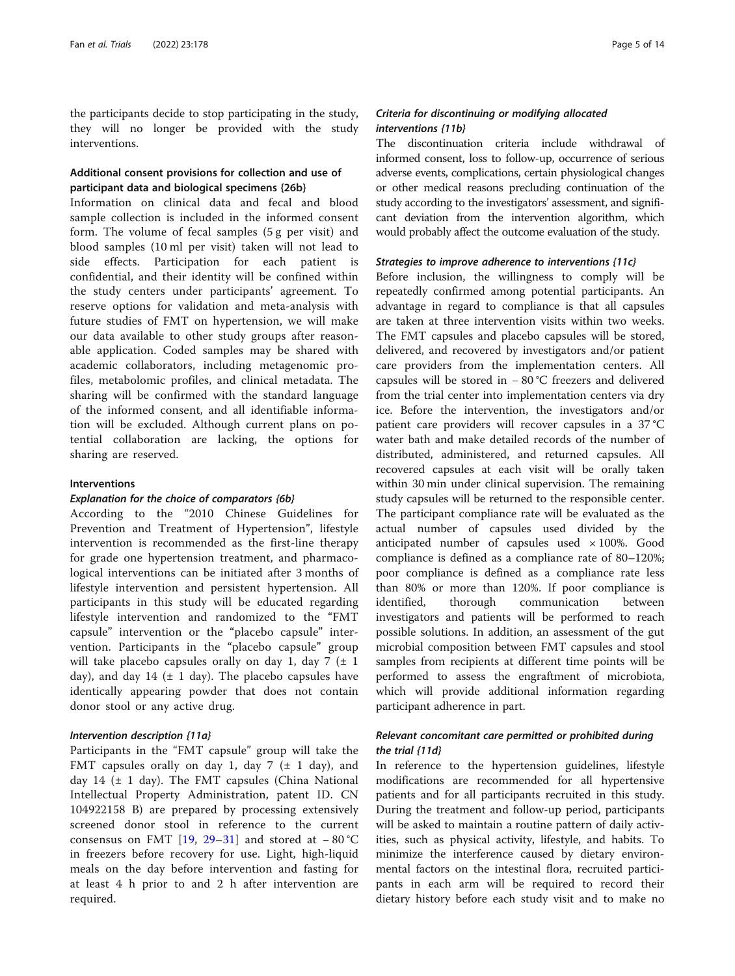the participants decide to stop participating in the study, they will no longer be provided with the study interventions.

#### Additional consent provisions for collection and use of participant data and biological specimens {26b}

Information on clinical data and fecal and blood sample collection is included in the informed consent form. The volume of fecal samples (5 g per visit) and blood samples (10 ml per visit) taken will not lead to side effects. Participation for each patient is confidential, and their identity will be confined within the study centers under participants' agreement. To reserve options for validation and meta-analysis with future studies of FMT on hypertension, we will make our data available to other study groups after reasonable application. Coded samples may be shared with academic collaborators, including metagenomic profiles, metabolomic profiles, and clinical metadata. The sharing will be confirmed with the standard language of the informed consent, and all identifiable information will be excluded. Although current plans on potential collaboration are lacking, the options for sharing are reserved.

#### Interventions

#### Explanation for the choice of comparators {6b}

According to the "2010 Chinese Guidelines for Prevention and Treatment of Hypertension", lifestyle intervention is recommended as the first-line therapy for grade one hypertension treatment, and pharmacological interventions can be initiated after 3 months of lifestyle intervention and persistent hypertension. All participants in this study will be educated regarding lifestyle intervention and randomized to the "FMT capsule" intervention or the "placebo capsule" intervention. Participants in the "placebo capsule" group will take placebo capsules orally on day 1, day 7  $(\pm 1)$ day), and day 14 ( $\pm$  1 day). The placebo capsules have identically appearing powder that does not contain donor stool or any active drug.

#### Intervention description {11a}

Participants in the "FMT capsule" group will take the FMT capsules orally on day 1, day 7  $(\pm 1 \text{ day})$ , and day 14  $(\pm 1)$  day). The FMT capsules (China National Intellectual Property Administration, patent ID. CN 104922158 B) are prepared by processing extensively screened donor stool in reference to the current consensus on FMT [[19,](#page-12-0) [29](#page-12-0)–[31\]](#page-12-0) and stored at − 80 °C in freezers before recovery for use. Light, high-liquid meals on the day before intervention and fasting for at least 4 h prior to and 2 h after intervention are required.

#### Criteria for discontinuing or modifying allocated interventions {11b}

The discontinuation criteria include withdrawal of informed consent, loss to follow-up, occurrence of serious adverse events, complications, certain physiological changes or other medical reasons precluding continuation of the study according to the investigators' assessment, and significant deviation from the intervention algorithm, which would probably affect the outcome evaluation of the study.

#### Strategies to improve adherence to interventions {11c}

Before inclusion, the willingness to comply will be repeatedly confirmed among potential participants. An advantage in regard to compliance is that all capsules are taken at three intervention visits within two weeks. The FMT capsules and placebo capsules will be stored, delivered, and recovered by investigators and/or patient care providers from the implementation centers. All capsules will be stored in − 80 °C freezers and delivered from the trial center into implementation centers via dry ice. Before the intervention, the investigators and/or patient care providers will recover capsules in a 37 °C water bath and make detailed records of the number of distributed, administered, and returned capsules. All recovered capsules at each visit will be orally taken within 30 min under clinical supervision. The remaining study capsules will be returned to the responsible center. The participant compliance rate will be evaluated as the actual number of capsules used divided by the anticipated number of capsules used  $\times 100\%$ . Good compliance is defined as a compliance rate of 80–120%; poor compliance is defined as a compliance rate less than 80% or more than 120%. If poor compliance is identified, thorough communication between investigators and patients will be performed to reach possible solutions. In addition, an assessment of the gut microbial composition between FMT capsules and stool samples from recipients at different time points will be performed to assess the engraftment of microbiota, which will provide additional information regarding participant adherence in part.

#### Relevant concomitant care permitted or prohibited during the trial {11d}

In reference to the hypertension guidelines, lifestyle modifications are recommended for all hypertensive patients and for all participants recruited in this study. During the treatment and follow-up period, participants will be asked to maintain a routine pattern of daily activities, such as physical activity, lifestyle, and habits. To minimize the interference caused by dietary environmental factors on the intestinal flora, recruited participants in each arm will be required to record their dietary history before each study visit and to make no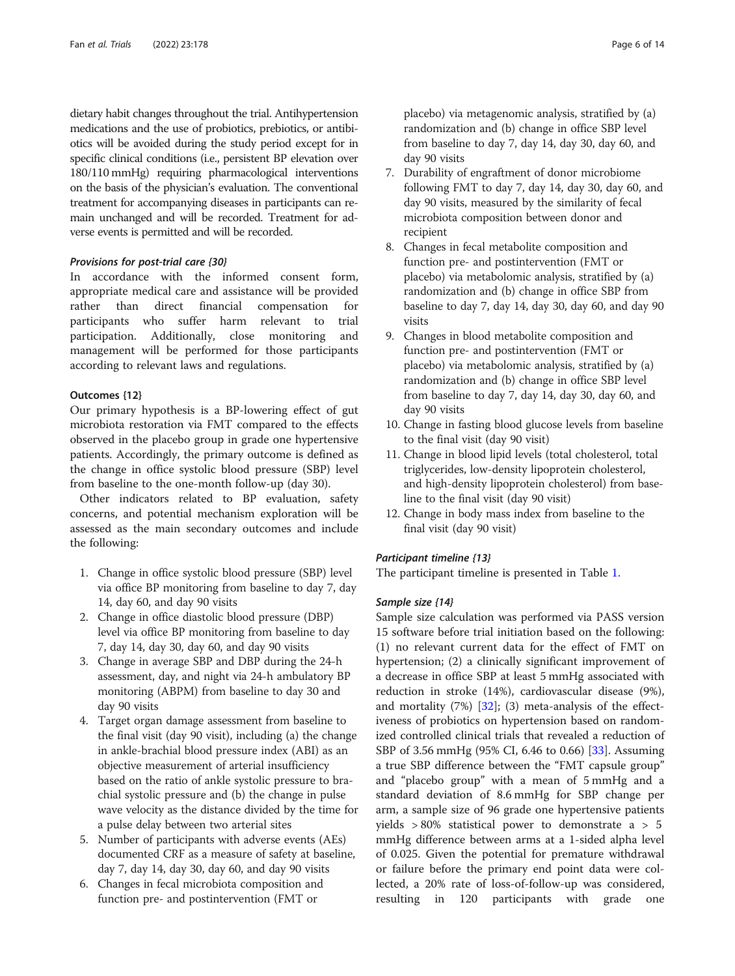dietary habit changes throughout the trial. Antihypertension medications and the use of probiotics, prebiotics, or antibiotics will be avoided during the study period except for in specific clinical conditions (i.e., persistent BP elevation over 180/110 mmHg) requiring pharmacological interventions on the basis of the physician's evaluation. The conventional treatment for accompanying diseases in participants can remain unchanged and will be recorded. Treatment for adverse events is permitted and will be recorded.

#### Provisions for post-trial care {30}

In accordance with the informed consent form, appropriate medical care and assistance will be provided rather than direct financial compensation for participants who suffer harm relevant to trial participation. Additionally, close monitoring and management will be performed for those participants according to relevant laws and regulations.

#### Outcomes {12}

Our primary hypothesis is a BP-lowering effect of gut microbiota restoration via FMT compared to the effects observed in the placebo group in grade one hypertensive patients. Accordingly, the primary outcome is defined as the change in office systolic blood pressure (SBP) level from baseline to the one-month follow-up (day 30).

Other indicators related to BP evaluation, safety concerns, and potential mechanism exploration will be assessed as the main secondary outcomes and include the following:

- 1. Change in office systolic blood pressure (SBP) level via office BP monitoring from baseline to day 7, day 14, day 60, and day 90 visits
- 2. Change in office diastolic blood pressure (DBP) level via office BP monitoring from baseline to day 7, day 14, day 30, day 60, and day 90 visits
- 3. Change in average SBP and DBP during the 24-h assessment, day, and night via 24-h ambulatory BP monitoring (ABPM) from baseline to day 30 and day 90 visits
- 4. Target organ damage assessment from baseline to the final visit (day 90 visit), including (a) the change in ankle-brachial blood pressure index (ABI) as an objective measurement of arterial insufficiency based on the ratio of ankle systolic pressure to brachial systolic pressure and (b) the change in pulse wave velocity as the distance divided by the time for a pulse delay between two arterial sites
- 5. Number of participants with adverse events (AEs) documented CRF as a measure of safety at baseline, day 7, day 14, day 30, day 60, and day 90 visits
- 6. Changes in fecal microbiota composition and function pre- and postintervention (FMT or

placebo) via metagenomic analysis, stratified by (a) randomization and (b) change in office SBP level from baseline to day 7, day 14, day 30, day 60, and day 90 visits

- 7. Durability of engraftment of donor microbiome following FMT to day 7, day 14, day 30, day 60, and day 90 visits, measured by the similarity of fecal microbiota composition between donor and recipient
- 8. Changes in fecal metabolite composition and function pre- and postintervention (FMT or placebo) via metabolomic analysis, stratified by (a) randomization and (b) change in office SBP from baseline to day 7, day 14, day 30, day 60, and day 90 visits
- 9. Changes in blood metabolite composition and function pre- and postintervention (FMT or placebo) via metabolomic analysis, stratified by (a) randomization and (b) change in office SBP level from baseline to day 7, day 14, day 30, day 60, and day 90 visits
- 10. Change in fasting blood glucose levels from baseline to the final visit (day 90 visit)
- 11. Change in blood lipid levels (total cholesterol, total triglycerides, low-density lipoprotein cholesterol, and high-density lipoprotein cholesterol) from baseline to the final visit (day 90 visit)
- 12. Change in body mass index from baseline to the final visit (day 90 visit)

#### Participant timeline {13}

The participant timeline is presented in Table [1.](#page-6-0)

#### Sample size {14}

Sample size calculation was performed via PASS version 15 software before trial initiation based on the following: (1) no relevant current data for the effect of FMT on hypertension; (2) a clinically significant improvement of a decrease in office SBP at least 5 mmHg associated with reduction in stroke (14%), cardiovascular disease (9%), and mortality  $(7%)$   $[32]$  $[32]$ ;  $(3)$  meta-analysis of the effectiveness of probiotics on hypertension based on randomized controlled clinical trials that revealed a reduction of SBP of 3.56 mmHg (95% CI, 6.46 to 0.66) [[33\]](#page-12-0). Assuming a true SBP difference between the "FMT capsule group" and "placebo group" with a mean of 5 mmHg and a standard deviation of 8.6 mmHg for SBP change per arm, a sample size of 96 grade one hypertensive patients yields > 80% statistical power to demonstrate a > 5 mmHg difference between arms at a 1-sided alpha level of 0.025. Given the potential for premature withdrawal or failure before the primary end point data were collected, a 20% rate of loss-of-follow-up was considered, resulting in 120 participants with grade one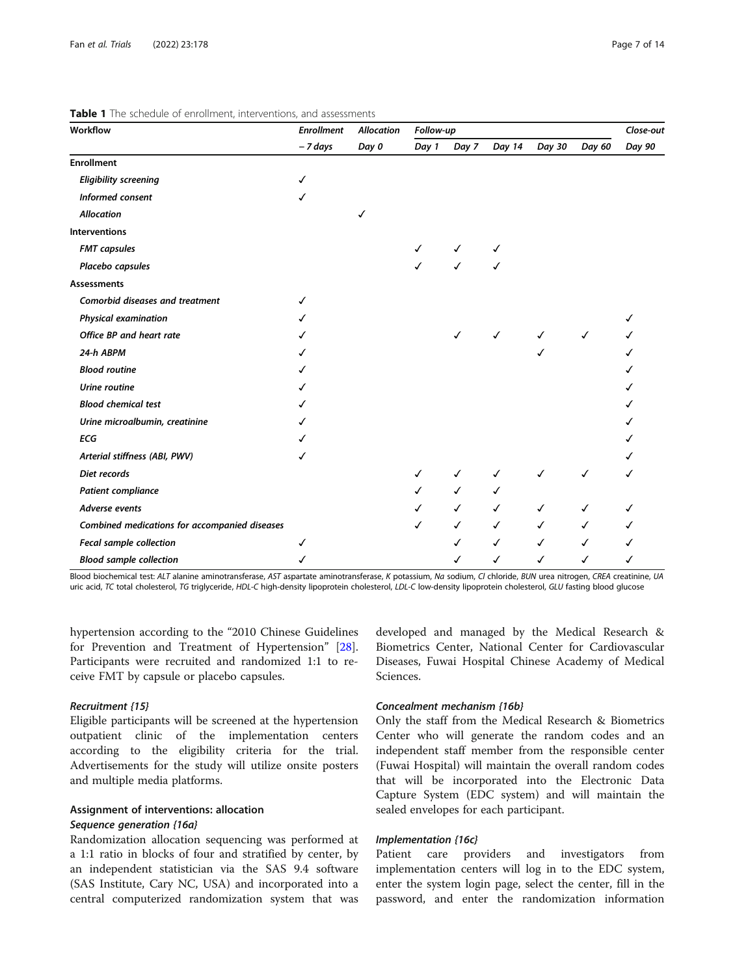| Workflow                                      | <b>Enrollment</b> | <b>Allocation</b> | Follow-up |              |              |              |              | Close-out |
|-----------------------------------------------|-------------------|-------------------|-----------|--------------|--------------|--------------|--------------|-----------|
|                                               | - 7 days          | Day 0             | Day 1     | Day 7        | Day 14       | Day 30       | Day 60       | Day 90    |
| <b>Enrollment</b>                             |                   |                   |           |              |              |              |              |           |
| <b>Eligibility screening</b>                  | ✓                 |                   |           |              |              |              |              |           |
| Informed consent                              | ✓                 |                   |           |              |              |              |              |           |
| <b>Allocation</b>                             |                   | ✓                 |           |              |              |              |              |           |
| <b>Interventions</b>                          |                   |                   |           |              |              |              |              |           |
| <b>FMT</b> capsules                           |                   |                   | ✓         | ✓            | ✓            |              |              |           |
| Placebo capsules                              |                   |                   | ℐ         | $\checkmark$ | ✓            |              |              |           |
| <b>Assessments</b>                            |                   |                   |           |              |              |              |              |           |
| <b>Comorbid diseases and treatment</b>        | ✓                 |                   |           |              |              |              |              |           |
| <b>Physical examination</b>                   | ℐ                 |                   |           |              |              |              |              |           |
| Office BP and heart rate                      | ℐ                 |                   |           | ℐ            | $\checkmark$ | ✓            | $\checkmark$ |           |
| 24-h ABPM                                     | ℐ                 |                   |           |              |              |              |              |           |
| <b>Blood routine</b>                          |                   |                   |           |              |              |              |              |           |
| Urine routine                                 |                   |                   |           |              |              |              |              |           |
| <b>Blood chemical test</b>                    | ℳ                 |                   |           |              |              |              |              |           |
| Urine microalbumin, creatinine                | ℐ                 |                   |           |              |              |              |              |           |
| <b>ECG</b>                                    |                   |                   |           |              |              |              |              |           |
| Arterial stiffness (ABI, PWV)                 | ✓                 |                   |           |              |              |              |              |           |
| Diet records                                  |                   |                   | ✓         | ✓            | ✓            | ✓            | ✓            |           |
| Patient compliance                            |                   |                   | ✓         | $\checkmark$ | ✓            |              |              |           |
| Adverse events                                |                   |                   | ✓         | $\checkmark$ | $\checkmark$ | $\checkmark$ | ✓            |           |
| Combined medications for accompanied diseases |                   |                   | ✓         | $\checkmark$ | $\checkmark$ | ✓            | ✓            | ✓         |
| Fecal sample collection                       | ✓                 |                   |           | ✓            | $\checkmark$ | $\checkmark$ | ✓            |           |
| <b>Blood sample collection</b>                |                   |                   |           | ✓            | ✓            | ✓            | ✓            |           |

<span id="page-6-0"></span>Table 1 The schedule of enrollment, interventions, and assessments

Blood biochemical test: ALT alanine aminotransferase, AST aspartate aminotransferase, K potassium, Na sodium, CI chloride, BUN urea nitrogen, CREA creatinine, UA uric acid, TC total cholesterol, TG triglyceride, HDL-C high-density lipoprotein cholesterol, LDL-C low-density lipoprotein cholesterol, GLU fasting blood glucose

hypertension according to the "2010 Chinese Guidelines for Prevention and Treatment of Hypertension" [\[28](#page-12-0)]. Participants were recruited and randomized 1:1 to receive FMT by capsule or placebo capsules.

#### Recruitment {15}

Eligible participants will be screened at the hypertension outpatient clinic of the implementation centers according to the eligibility criteria for the trial. Advertisements for the study will utilize onsite posters and multiple media platforms.

# Assignment of interventions: allocation Sequence generation {16a}

Randomization allocation sequencing was performed at a 1:1 ratio in blocks of four and stratified by center, by an independent statistician via the SAS 9.4 software (SAS Institute, Cary NC, USA) and incorporated into a central computerized randomization system that was developed and managed by the Medical Research & Biometrics Center, National Center for Cardiovascular Diseases, Fuwai Hospital Chinese Academy of Medical Sciences.

#### Concealment mechanism {16b}

Only the staff from the Medical Research & Biometrics Center who will generate the random codes and an independent staff member from the responsible center (Fuwai Hospital) will maintain the overall random codes that will be incorporated into the Electronic Data Capture System (EDC system) and will maintain the sealed envelopes for each participant.

#### Implementation {16c}

Patient care providers and investigators from implementation centers will log in to the EDC system, enter the system login page, select the center, fill in the password, and enter the randomization information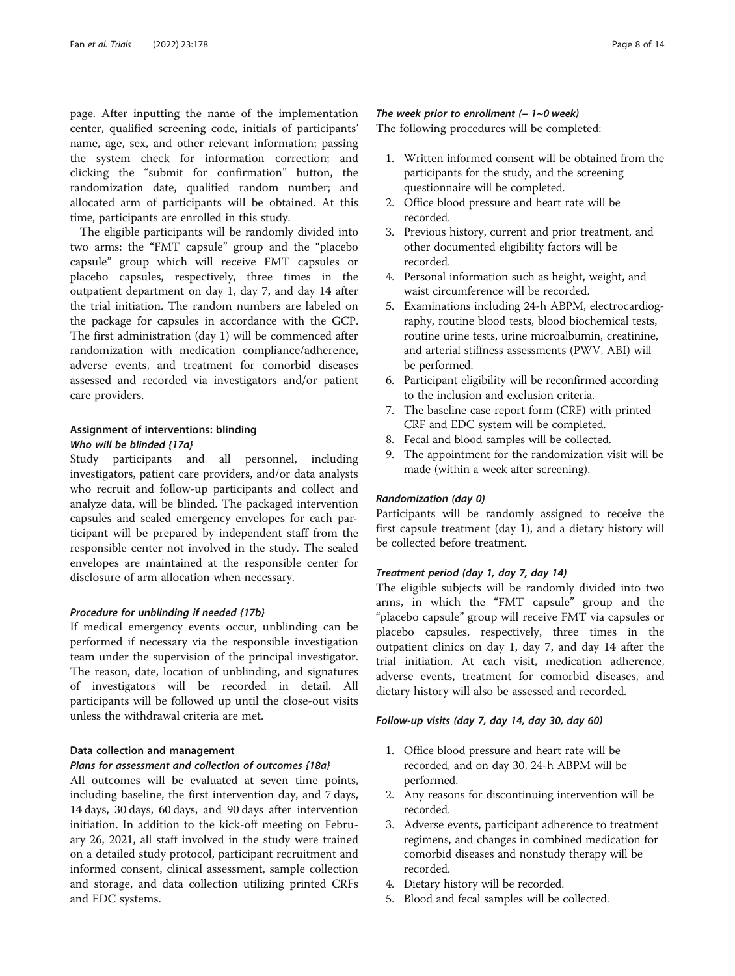page. After inputting the name of the implementation center, qualified screening code, initials of participants' name, age, sex, and other relevant information; passing the system check for information correction; and clicking the "submit for confirmation" button, the randomization date, qualified random number; and allocated arm of participants will be obtained. At this time, participants are enrolled in this study.

The eligible participants will be randomly divided into two arms: the "FMT capsule" group and the "placebo capsule" group which will receive FMT capsules or placebo capsules, respectively, three times in the outpatient department on day 1, day 7, and day 14 after the trial initiation. The random numbers are labeled on the package for capsules in accordance with the GCP. The first administration (day 1) will be commenced after randomization with medication compliance/adherence, adverse events, and treatment for comorbid diseases assessed and recorded via investigators and/or patient care providers.

#### Assignment of interventions: blinding Who will be blinded {17a}

Study participants and all personnel, including investigators, patient care providers, and/or data analysts who recruit and follow-up participants and collect and analyze data, will be blinded. The packaged intervention capsules and sealed emergency envelopes for each participant will be prepared by independent staff from the responsible center not involved in the study. The sealed envelopes are maintained at the responsible center for disclosure of arm allocation when necessary.

#### Procedure for unblinding if needed {17b}

If medical emergency events occur, unblinding can be performed if necessary via the responsible investigation team under the supervision of the principal investigator. The reason, date, location of unblinding, and signatures of investigators will be recorded in detail. All participants will be followed up until the close-out visits unless the withdrawal criteria are met.

#### Data collection and management

#### Plans for assessment and collection of outcomes {18a}

All outcomes will be evaluated at seven time points, including baseline, the first intervention day, and 7 days, 14 days, 30 days, 60 days, and 90 days after intervention initiation. In addition to the kick-off meeting on February 26, 2021, all staff involved in the study were trained on a detailed study protocol, participant recruitment and informed consent, clinical assessment, sample collection and storage, and data collection utilizing printed CRFs and EDC systems.

#### The week prior to enrollment  $(-1~0~\text{week})$

The following procedures will be completed:

- 1. Written informed consent will be obtained from the participants for the study, and the screening questionnaire will be completed.
- 2. Office blood pressure and heart rate will be recorded.
- 3. Previous history, current and prior treatment, and other documented eligibility factors will be recorded.
- 4. Personal information such as height, weight, and waist circumference will be recorded.
- 5. Examinations including 24-h ABPM, electrocardiography, routine blood tests, blood biochemical tests, routine urine tests, urine microalbumin, creatinine, and arterial stiffness assessments (PWV, ABI) will be performed.
- 6. Participant eligibility will be reconfirmed according to the inclusion and exclusion criteria.
- 7. The baseline case report form (CRF) with printed CRF and EDC system will be completed.
- 8. Fecal and blood samples will be collected.
- 9. The appointment for the randomization visit will be made (within a week after screening).

#### Randomization (day 0)

Participants will be randomly assigned to receive the first capsule treatment (day 1), and a dietary history will be collected before treatment.

#### Treatment period (day 1, day 7, day 14)

The eligible subjects will be randomly divided into two arms, in which the "FMT capsule" group and the "placebo capsule" group will receive FMT via capsules or placebo capsules, respectively, three times in the outpatient clinics on day 1, day 7, and day 14 after the trial initiation. At each visit, medication adherence, adverse events, treatment for comorbid diseases, and dietary history will also be assessed and recorded.

#### Follow-up visits (day 7, day 14, day 30, day 60)

- 1. Office blood pressure and heart rate will be recorded, and on day 30, 24-h ABPM will be performed.
- 2. Any reasons for discontinuing intervention will be recorded.
- 3. Adverse events, participant adherence to treatment regimens, and changes in combined medication for comorbid diseases and nonstudy therapy will be recorded.
- 4. Dietary history will be recorded.
- 5. Blood and fecal samples will be collected.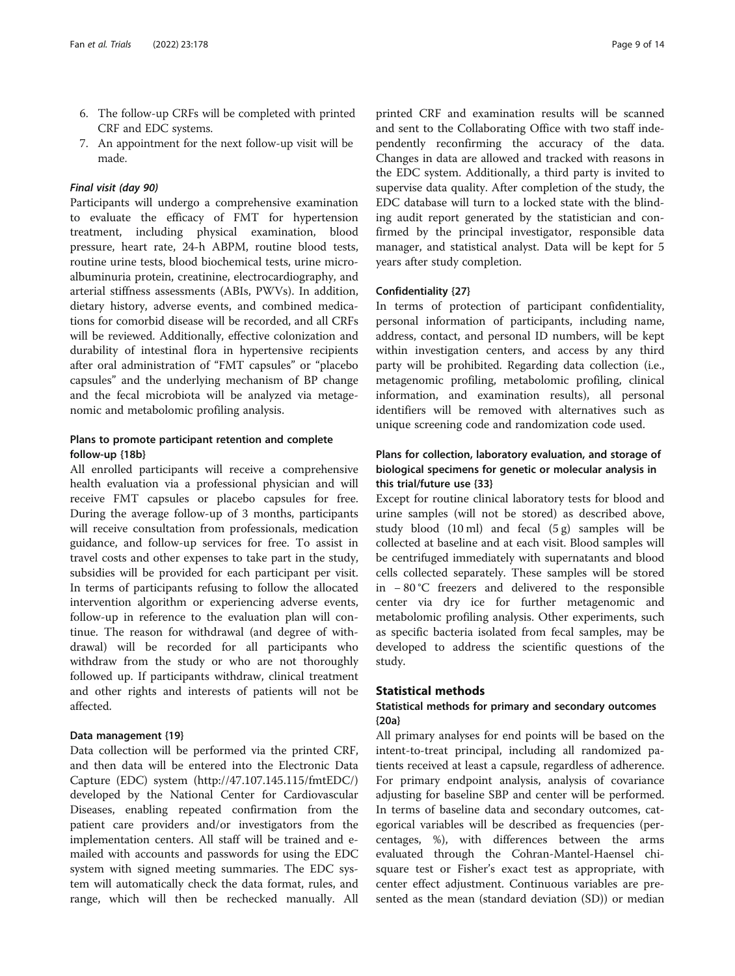- 6. The follow-up CRFs will be completed with printed CRF and EDC systems.
- 7. An appointment for the next follow-up visit will be made.

#### Final visit (day 90)

Participants will undergo a comprehensive examination to evaluate the efficacy of FMT for hypertension treatment, including physical examination, blood pressure, heart rate, 24-h ABPM, routine blood tests, routine urine tests, blood biochemical tests, urine microalbuminuria protein, creatinine, electrocardiography, and arterial stiffness assessments (ABIs, PWVs). In addition, dietary history, adverse events, and combined medications for comorbid disease will be recorded, and all CRFs will be reviewed. Additionally, effective colonization and durability of intestinal flora in hypertensive recipients after oral administration of "FMT capsules" or "placebo capsules" and the underlying mechanism of BP change and the fecal microbiota will be analyzed via metagenomic and metabolomic profiling analysis.

#### Plans to promote participant retention and complete follow-up {18b}

All enrolled participants will receive a comprehensive health evaluation via a professional physician and will receive FMT capsules or placebo capsules for free. During the average follow-up of 3 months, participants will receive consultation from professionals, medication guidance, and follow-up services for free. To assist in travel costs and other expenses to take part in the study, subsidies will be provided for each participant per visit. In terms of participants refusing to follow the allocated intervention algorithm or experiencing adverse events, follow-up in reference to the evaluation plan will continue. The reason for withdrawal (and degree of withdrawal) will be recorded for all participants who withdraw from the study or who are not thoroughly followed up. If participants withdraw, clinical treatment and other rights and interests of patients will not be affected.

#### Data management {19}

Data collection will be performed via the printed CRF, and then data will be entered into the Electronic Data Capture (EDC) system (http://47.107.145.115/fmtEDC/) developed by the National Center for Cardiovascular Diseases, enabling repeated confirmation from the patient care providers and/or investigators from the implementation centers. All staff will be trained and emailed with accounts and passwords for using the EDC system with signed meeting summaries. The EDC system will automatically check the data format, rules, and range, which will then be rechecked manually. All

printed CRF and examination results will be scanned and sent to the Collaborating Office with two staff independently reconfirming the accuracy of the data. Changes in data are allowed and tracked with reasons in the EDC system. Additionally, a third party is invited to supervise data quality. After completion of the study, the EDC database will turn to a locked state with the blinding audit report generated by the statistician and confirmed by the principal investigator, responsible data manager, and statistical analyst. Data will be kept for 5 years after study completion.

#### Confidentiality {27}

In terms of protection of participant confidentiality, personal information of participants, including name, address, contact, and personal ID numbers, will be kept within investigation centers, and access by any third party will be prohibited. Regarding data collection (i.e., metagenomic profiling, metabolomic profiling, clinical information, and examination results), all personal identifiers will be removed with alternatives such as unique screening code and randomization code used.

### Plans for collection, laboratory evaluation, and storage of biological specimens for genetic or molecular analysis in this trial/future use {33}

Except for routine clinical laboratory tests for blood and urine samples (will not be stored) as described above, study blood  $(10 \text{ ml})$  and fecal  $(5 g)$  samples will be collected at baseline and at each visit. Blood samples will be centrifuged immediately with supernatants and blood cells collected separately. These samples will be stored in − 80 °C freezers and delivered to the responsible center via dry ice for further metagenomic and metabolomic profiling analysis. Other experiments, such as specific bacteria isolated from fecal samples, may be developed to address the scientific questions of the study.

#### Statistical methods

## Statistical methods for primary and secondary outcomes {20a}

All primary analyses for end points will be based on the intent-to-treat principal, including all randomized patients received at least a capsule, regardless of adherence. For primary endpoint analysis, analysis of covariance adjusting for baseline SBP and center will be performed. In terms of baseline data and secondary outcomes, categorical variables will be described as frequencies (percentages, %), with differences between the arms evaluated through the Cohran-Mantel-Haensel chisquare test or Fisher's exact test as appropriate, with center effect adjustment. Continuous variables are presented as the mean (standard deviation (SD)) or median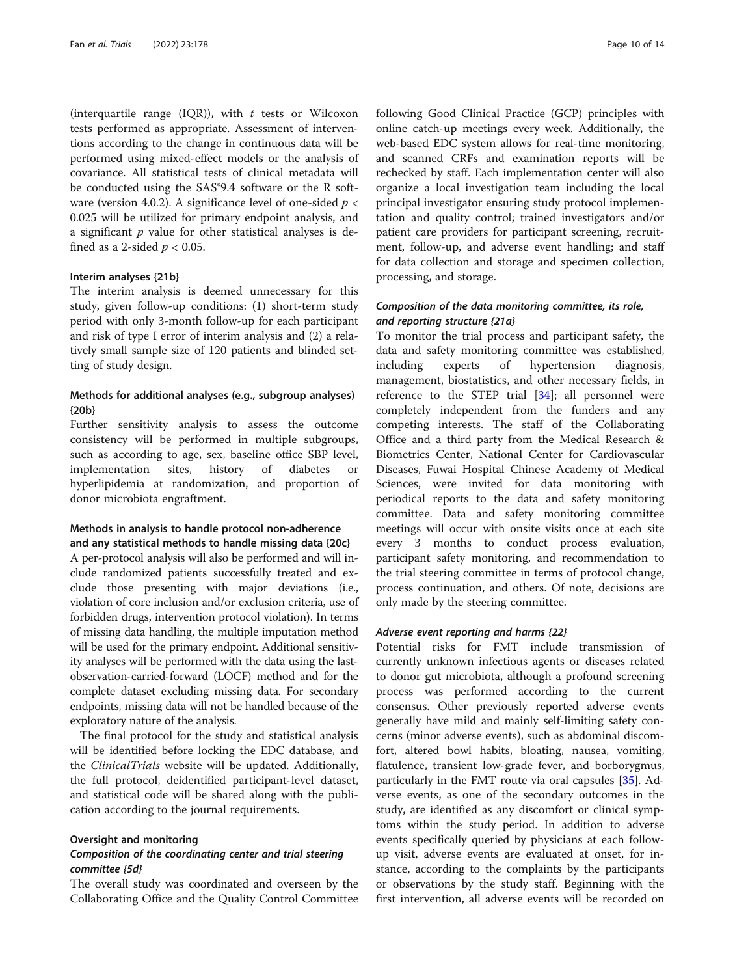(interquartile range (IQR)), with  $t$  tests or Wilcoxon tests performed as appropriate. Assessment of interventions according to the change in continuous data will be performed using mixed-effect models or the analysis of covariance. All statistical tests of clinical metadata will be conducted using the SAS®9.4 software or the R software (version 4.0.2). A significance level of one-sided  $p <$ 0.025 will be utilized for primary endpoint analysis, and a significant  $p$  value for other statistical analyses is defined as a 2-sided  $p < 0.05$ .

#### Interim analyses {21b}

The interim analysis is deemed unnecessary for this study, given follow-up conditions: (1) short-term study period with only 3-month follow-up for each participant and risk of type I error of interim analysis and (2) a relatively small sample size of 120 patients and blinded setting of study design.

#### Methods for additional analyses (e.g., subgroup analyses) {20b}

Further sensitivity analysis to assess the outcome consistency will be performed in multiple subgroups, such as according to age, sex, baseline office SBP level, implementation sites, history of diabetes or hyperlipidemia at randomization, and proportion of donor microbiota engraftment.

#### Methods in analysis to handle protocol non-adherence and any statistical methods to handle missing data {20c}

A per-protocol analysis will also be performed and will include randomized patients successfully treated and exclude those presenting with major deviations (i.e., violation of core inclusion and/or exclusion criteria, use of forbidden drugs, intervention protocol violation). In terms of missing data handling, the multiple imputation method will be used for the primary endpoint. Additional sensitivity analyses will be performed with the data using the lastobservation-carried-forward (LOCF) method and for the complete dataset excluding missing data. For secondary endpoints, missing data will not be handled because of the exploratory nature of the analysis.

The final protocol for the study and statistical analysis will be identified before locking the EDC database, and the ClinicalTrials website will be updated. Additionally, the full protocol, deidentified participant-level dataset, and statistical code will be shared along with the publication according to the journal requirements.

#### Oversight and monitoring

#### Composition of the coordinating center and trial steering committee {5d}

The overall study was coordinated and overseen by the Collaborating Office and the Quality Control Committee following Good Clinical Practice (GCP) principles with online catch-up meetings every week. Additionally, the web-based EDC system allows for real-time monitoring, and scanned CRFs and examination reports will be rechecked by staff. Each implementation center will also organize a local investigation team including the local principal investigator ensuring study protocol implementation and quality control; trained investigators and/or patient care providers for participant screening, recruitment, follow-up, and adverse event handling; and staff for data collection and storage and specimen collection, processing, and storage.

#### Composition of the data monitoring committee, its role, and reporting structure {21a}

To monitor the trial process and participant safety, the data and safety monitoring committee was established, including experts of hypertension diagnosis, management, biostatistics, and other necessary fields, in reference to the STEP trial [\[34](#page-12-0)]; all personnel were completely independent from the funders and any competing interests. The staff of the Collaborating Office and a third party from the Medical Research & Biometrics Center, National Center for Cardiovascular Diseases, Fuwai Hospital Chinese Academy of Medical Sciences, were invited for data monitoring with periodical reports to the data and safety monitoring committee. Data and safety monitoring committee meetings will occur with onsite visits once at each site every 3 months to conduct process evaluation, participant safety monitoring, and recommendation to the trial steering committee in terms of protocol change, process continuation, and others. Of note, decisions are only made by the steering committee.

#### Adverse event reporting and harms {22}

Potential risks for FMT include transmission of currently unknown infectious agents or diseases related to donor gut microbiota, although a profound screening process was performed according to the current consensus. Other previously reported adverse events generally have mild and mainly self-limiting safety concerns (minor adverse events), such as abdominal discomfort, altered bowl habits, bloating, nausea, vomiting, flatulence, transient low-grade fever, and borborygmus, particularly in the FMT route via oral capsules [\[35](#page-12-0)]. Adverse events, as one of the secondary outcomes in the study, are identified as any discomfort or clinical symptoms within the study period. In addition to adverse events specifically queried by physicians at each followup visit, adverse events are evaluated at onset, for instance, according to the complaints by the participants or observations by the study staff. Beginning with the first intervention, all adverse events will be recorded on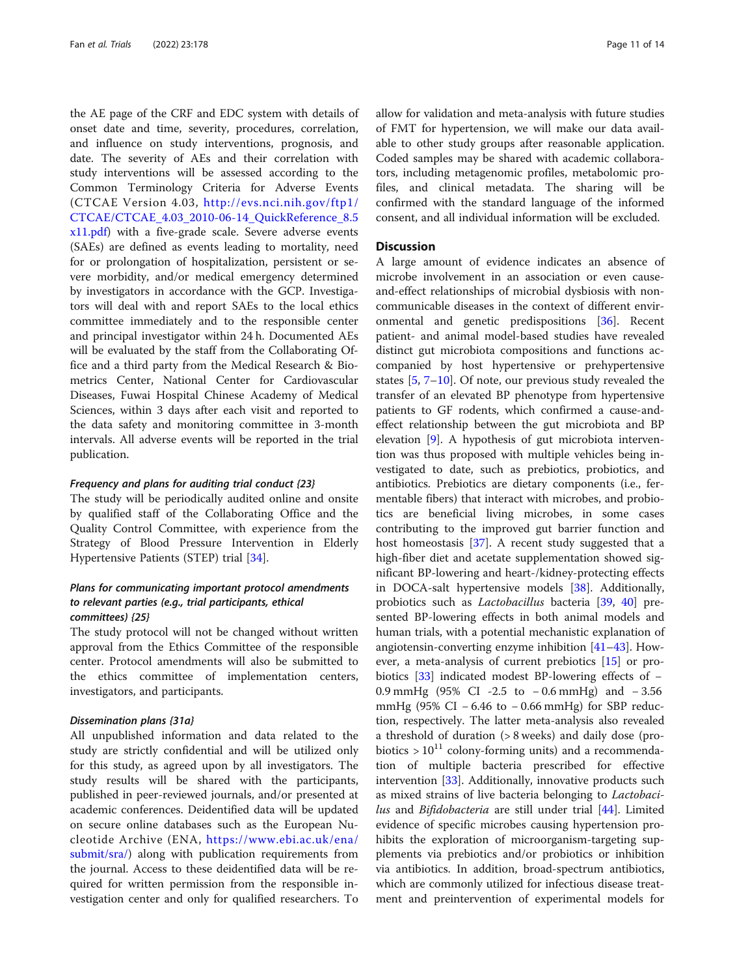the AE page of the CRF and EDC system with details of onset date and time, severity, procedures, correlation, and influence on study interventions, prognosis, and date. The severity of AEs and their correlation with study interventions will be assessed according to the Common Terminology Criteria for Adverse Events (CTCAE Version 4.03, [http://evs.nci.nih.gov/ftp1/](http://evs.nci.nih.gov/ftp1/CTCAE/CTCAE_4.03_2010-06-14_QuickReference_8.5x11.pdf) [CTCAE/CTCAE\\_4.03\\_2010-06-14\\_QuickReference\\_8.5](http://evs.nci.nih.gov/ftp1/CTCAE/CTCAE_4.03_2010-06-14_QuickReference_8.5x11.pdf) [x11.pdf\)](http://evs.nci.nih.gov/ftp1/CTCAE/CTCAE_4.03_2010-06-14_QuickReference_8.5x11.pdf) with a five-grade scale. Severe adverse events (SAEs) are defined as events leading to mortality, need for or prolongation of hospitalization, persistent or severe morbidity, and/or medical emergency determined by investigators in accordance with the GCP. Investigators will deal with and report SAEs to the local ethics committee immediately and to the responsible center and principal investigator within 24 h. Documented AEs will be evaluated by the staff from the Collaborating Office and a third party from the Medical Research & Biometrics Center, National Center for Cardiovascular Diseases, Fuwai Hospital Chinese Academy of Medical Sciences, within 3 days after each visit and reported to the data safety and monitoring committee in 3-month intervals. All adverse events will be reported in the trial publication.

#### Frequency and plans for auditing trial conduct {23}

The study will be periodically audited online and onsite by qualified staff of the Collaborating Office and the Quality Control Committee, with experience from the Strategy of Blood Pressure Intervention in Elderly Hypertensive Patients (STEP) trial [[34\]](#page-12-0).

#### Plans for communicating important protocol amendments to relevant parties (e.g., trial participants, ethical committees) {25}

The study protocol will not be changed without written approval from the Ethics Committee of the responsible center. Protocol amendments will also be submitted to the ethics committee of implementation centers, investigators, and participants.

#### Dissemination plans {31a}

All unpublished information and data related to the study are strictly confidential and will be utilized only for this study, as agreed upon by all investigators. The study results will be shared with the participants, published in peer-reviewed journals, and/or presented at academic conferences. Deidentified data will be updated on secure online databases such as the European Nucleotide Archive (ENA, [https://www.ebi.ac.uk/ena/](https://www.ebi.ac.uk/ena/submit/sra/) [submit/sra/\)](https://www.ebi.ac.uk/ena/submit/sra/) along with publication requirements from the journal. Access to these deidentified data will be required for written permission from the responsible investigation center and only for qualified researchers. To allow for validation and meta-analysis with future studies of FMT for hypertension, we will make our data available to other study groups after reasonable application. Coded samples may be shared with academic collaborators, including metagenomic profiles, metabolomic profiles, and clinical metadata. The sharing will be confirmed with the standard language of the informed consent, and all individual information will be excluded.

#### **Discussion**

A large amount of evidence indicates an absence of microbe involvement in an association or even causeand-effect relationships of microbial dysbiosis with noncommunicable diseases in the context of different environmental and genetic predispositions [[36\]](#page-12-0). Recent patient- and animal model-based studies have revealed distinct gut microbiota compositions and functions accompanied by host hypertensive or prehypertensive states [[5,](#page-12-0) [7](#page-12-0)–[10](#page-12-0)]. Of note, our previous study revealed the transfer of an elevated BP phenotype from hypertensive patients to GF rodents, which confirmed a cause-andeffect relationship between the gut microbiota and BP elevation [[9\]](#page-12-0). A hypothesis of gut microbiota intervention was thus proposed with multiple vehicles being investigated to date, such as prebiotics, probiotics, and antibiotics. Prebiotics are dietary components (i.e., fermentable fibers) that interact with microbes, and probiotics are beneficial living microbes, in some cases contributing to the improved gut barrier function and host homeostasis [\[37](#page-12-0)]. A recent study suggested that a high-fiber diet and acetate supplementation showed significant BP-lowering and heart-/kidney-protecting effects in DOCA-salt hypertensive models [\[38](#page-12-0)]. Additionally, probiotics such as Lactobacillus bacteria [[39](#page-12-0), [40](#page-12-0)] presented BP-lowering effects in both animal models and human trials, with a potential mechanistic explanation of angiotensin-converting enzyme inhibition [[41](#page-13-0)–[43](#page-13-0)]. However, a meta-analysis of current prebiotics [[15](#page-12-0)] or probiotics [\[33\]](#page-12-0) indicated modest BP-lowering effects of − 0.9 mmHg (95% CI -2.5 to − 0.6 mmHg) and − 3.56 mmHg (95% CI – 6.46 to – 0.66 mmHg) for SBP reduction, respectively. The latter meta-analysis also revealed a threshold of duration (> 8 weeks) and daily dose (probiotics  $> 10^{11}$  colony-forming units) and a recommendation of multiple bacteria prescribed for effective intervention [\[33\]](#page-12-0). Additionally, innovative products such as mixed strains of live bacteria belonging to Lactobacilus and *Bifidobacteria* are still under trial [[44\]](#page-13-0). Limited evidence of specific microbes causing hypertension prohibits the exploration of microorganism-targeting supplements via prebiotics and/or probiotics or inhibition via antibiotics. In addition, broad-spectrum antibiotics, which are commonly utilized for infectious disease treatment and preintervention of experimental models for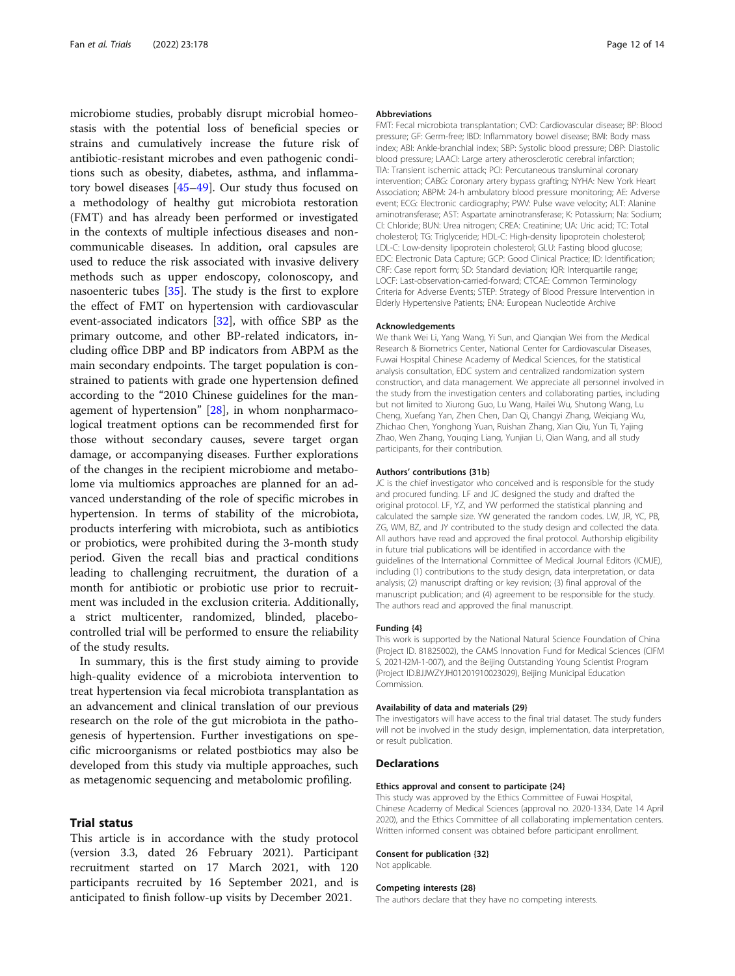microbiome studies, probably disrupt microbial homeostasis with the potential loss of beneficial species or strains and cumulatively increase the future risk of antibiotic-resistant microbes and even pathogenic conditions such as obesity, diabetes, asthma, and inflammatory bowel diseases [[45](#page-13-0)–[49](#page-13-0)]. Our study thus focused on a methodology of healthy gut microbiota restoration (FMT) and has already been performed or investigated in the contexts of multiple infectious diseases and noncommunicable diseases. In addition, oral capsules are used to reduce the risk associated with invasive delivery methods such as upper endoscopy, colonoscopy, and nasoenteric tubes [\[35\]](#page-12-0). The study is the first to explore the effect of FMT on hypertension with cardiovascular event-associated indicators [[32](#page-12-0)], with office SBP as the primary outcome, and other BP-related indicators, including office DBP and BP indicators from ABPM as the main secondary endpoints. The target population is constrained to patients with grade one hypertension defined according to the "2010 Chinese guidelines for the management of hypertension" [\[28](#page-12-0)], in whom nonpharmacological treatment options can be recommended first for those without secondary causes, severe target organ damage, or accompanying diseases. Further explorations of the changes in the recipient microbiome and metabolome via multiomics approaches are planned for an advanced understanding of the role of specific microbes in hypertension. In terms of stability of the microbiota, products interfering with microbiota, such as antibiotics or probiotics, were prohibited during the 3-month study period. Given the recall bias and practical conditions leading to challenging recruitment, the duration of a month for antibiotic or probiotic use prior to recruitment was included in the exclusion criteria. Additionally, a strict multicenter, randomized, blinded, placebocontrolled trial will be performed to ensure the reliability of the study results.

In summary, this is the first study aiming to provide high-quality evidence of a microbiota intervention to treat hypertension via fecal microbiota transplantation as an advancement and clinical translation of our previous research on the role of the gut microbiota in the pathogenesis of hypertension. Further investigations on specific microorganisms or related postbiotics may also be developed from this study via multiple approaches, such as metagenomic sequencing and metabolomic profiling.

#### Trial status

This article is in accordance with the study protocol (version 3.3, dated 26 February 2021). Participant recruitment started on 17 March 2021, with 120 participants recruited by 16 September 2021, and is anticipated to finish follow-up visits by December 2021.

#### Abbreviations

FMT: Fecal microbiota transplantation; CVD: Cardiovascular disease; BP: Blood pressure; GF: Germ-free; IBD: Inflammatory bowel disease; BMI: Body mass index; ABI: Ankle-branchial index; SBP: Systolic blood pressure; DBP: Diastolic blood pressure; LAACI: Large artery atherosclerotic cerebral infarction; TIA: Transient ischemic attack; PCI: Percutaneous transluminal coronary intervention; CABG: Coronary artery bypass grafting; NYHA: New York Heart Association; ABPM: 24-h ambulatory blood pressure monitoring; AE: Adverse event; ECG: Electronic cardiography; PWV: Pulse wave velocity; ALT: Alanine aminotransferase; AST: Aspartate aminotransferase; K: Potassium; Na: Sodium; Cl: Chloride; BUN: Urea nitrogen; CREA: Creatinine; UA: Uric acid; TC: Total cholesterol; TG: Triglyceride; HDL-C: High-density lipoprotein cholesterol; LDL-C: Low-density lipoprotein cholesterol; GLU: Fasting blood glucose; EDC: Electronic Data Capture; GCP: Good Clinical Practice; ID: Identification; CRF: Case report form; SD: Standard deviation; IQR: Interquartile range; LOCF: Last-observation-carried-forward; CTCAE: Common Terminology Criteria for Adverse Events; STEP: Strategy of Blood Pressure Intervention in Elderly Hypertensive Patients; ENA: European Nucleotide Archive

#### Acknowledgements

We thank Wei Li, Yang Wang, Yi Sun, and Qianqian Wei from the Medical Research & Biometrics Center, National Center for Cardiovascular Diseases, Fuwai Hospital Chinese Academy of Medical Sciences, for the statistical analysis consultation, EDC system and centralized randomization system construction, and data management. We appreciate all personnel involved in the study from the investigation centers and collaborating parties, including but not limited to Xiurong Guo, Lu Wang, Hailei Wu, Shutong Wang, Lu Cheng, Xuefang Yan, Zhen Chen, Dan Qi, Changyi Zhang, Weiqiang Wu, Zhichao Chen, Yonghong Yuan, Ruishan Zhang, Xian Qiu, Yun Ti, Yajing Zhao, Wen Zhang, Youqing Liang, Yunjian Li, Qian Wang, and all study participants, for their contribution.

#### Authors' contributions {31b}

JC is the chief investigator who conceived and is responsible for the study and procured funding. LF and JC designed the study and drafted the original protocol. LF, YZ, and YW performed the statistical planning and calculated the sample size. YW generated the random codes. LW, JR, YC, PB, ZG, WM, BZ, and JY contributed to the study design and collected the data. All authors have read and approved the final protocol. Authorship eligibility in future trial publications will be identified in accordance with the guidelines of the International Committee of Medical Journal Editors (ICMJE), including (1) contributions to the study design, data interpretation, or data analysis; (2) manuscript drafting or key revision; (3) final approval of the manuscript publication; and (4) agreement to be responsible for the study. The authors read and approved the final manuscript.

#### Funding {4}

This work is supported by the National Natural Science Foundation of China (Project ID. 81825002), the CAMS Innovation Fund for Medical Sciences (CIFM S, 2021-I2M-1-007), and the Beijing Outstanding Young Scientist Program (Project ID.BJJWZYJH01201910023029), Beijing Municipal Education Commission.

#### Availability of data and materials {29}

The investigators will have access to the final trial dataset. The study funders will not be involved in the study design, implementation, data interpretation, or result publication.

#### Declarations

#### Ethics approval and consent to participate {24}

This study was approved by the Ethics Committee of Fuwai Hospital, Chinese Academy of Medical Sciences (approval no. 2020-1334, Date 14 April 2020), and the Ethics Committee of all collaborating implementation centers. Written informed consent was obtained before participant enrollment.

#### Consent for publication {32}

Not applicable.

#### Competing interests {28}

The authors declare that they have no competing interests.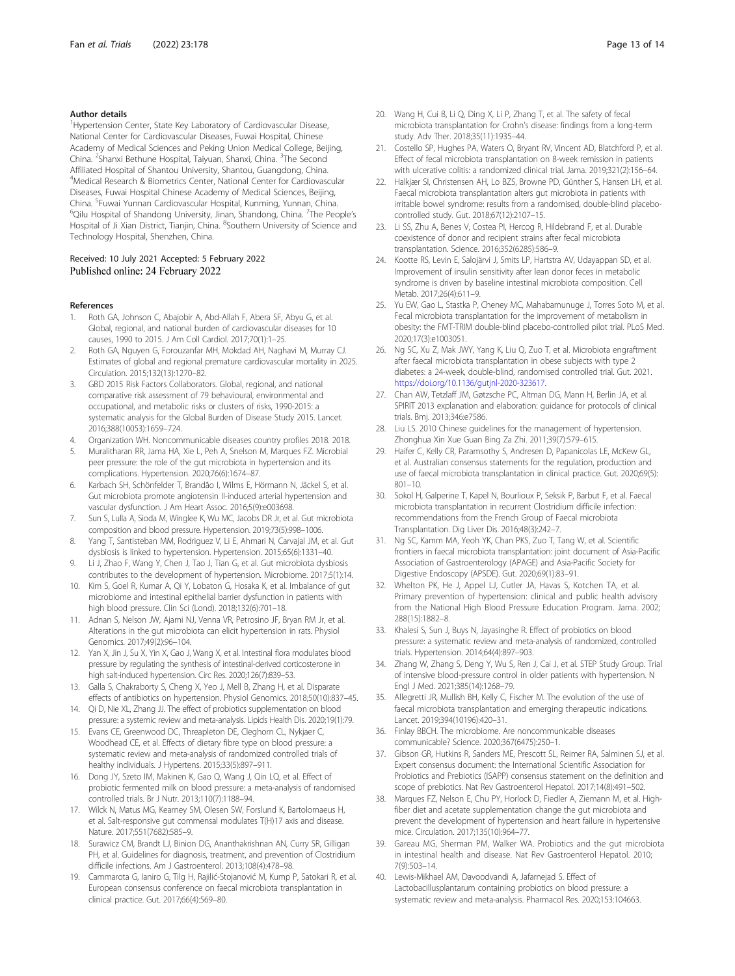#### <span id="page-12-0"></span>Author details

<sup>1</sup>Hypertension Center, State Key Laboratory of Cardiovascular Disease, National Center for Cardiovascular Diseases, Fuwai Hospital, Chinese Academy of Medical Sciences and Peking Union Medical College, Beijing, China. <sup>2</sup>Shanxi Bethune Hospital, Taiyuan, Shanxi, China. <sup>3</sup>The Second Affiliated Hospital of Shantou University, Shantou, Guangdong, China. 4 Medical Research & Biometrics Center, National Center for Cardiovascular Diseases, Fuwai Hospital Chinese Academy of Medical Sciences, Beijing, China. <sup>5</sup>Fuwai Yunnan Cardiovascular Hospital, Kunming, Yunnan, China.<br><sup>6</sup>Oilu Hospital of Shandong University, Jinan, Shandong, China. <sup>7</sup>The Pec Qilu Hospital of Shandong University, Jinan, Shandong, China. <sup>7</sup>The People's Hospital of Ji Xian District, Tianjin, China. <sup>8</sup>Southern University of Science and Technology Hospital, Shenzhen, China.

#### Received: 10 July 2021 Accepted: 5 February 2022 Published online: 24 February 2022

#### References

- Roth GA, Johnson C, Abajobir A, Abd-Allah F, Abera SF, Abyu G, et al. Global, regional, and national burden of cardiovascular diseases for 10 causes, 1990 to 2015. J Am Coll Cardiol. 2017;70(1):1–25.
- 2. Roth GA, Nguyen G, Forouzanfar MH, Mokdad AH, Naghavi M, Murray CJ. Estimates of global and regional premature cardiovascular mortality in 2025. Circulation. 2015;132(13):1270–82.
- 3. GBD 2015 Risk Factors Collaborators. Global, regional, and national comparative risk assessment of 79 behavioural, environmental and occupational, and metabolic risks or clusters of risks, 1990-2015: a systematic analysis for the Global Burden of Disease Study 2015. Lancet. 2016;388(10053):1659–724.
- 4. Organization WH. Noncommunicable diseases country profiles 2018. 2018.
- 5. Muralitharan RR, Jama HA, Xie L, Peh A, Snelson M, Marques FZ. Microbial peer pressure: the role of the gut microbiota in hypertension and its complications. Hypertension. 2020;76(6):1674–87.
- 6. Karbach SH, Schönfelder T, Brandão I, Wilms E, Hörmann N, Jäckel S, et al. Gut microbiota promote angiotensin II-induced arterial hypertension and vascular dysfunction. J Am Heart Assoc. 2016;5(9):e003698.
- 7. Sun S, Lulla A, Sioda M, Winglee K, Wu MC, Jacobs DR Jr, et al. Gut microbiota composition and blood pressure. Hypertension. 2019;73(5):998–1006.
- 8. Yang T, Santisteban MM, Rodriguez V, Li E, Ahmari N, Carvajal JM, et al. Gut dysbiosis is linked to hypertension. Hypertension. 2015;65(6):1331–40.
- 9. Li J, Zhao F, Wang Y, Chen J, Tao J, Tian G, et al. Gut microbiota dysbiosis contributes to the development of hypertension. Microbiome. 2017;5(1):14.
- 10. Kim S, Goel R, Kumar A, Qi Y, Lobaton G, Hosaka K, et al. Imbalance of gut microbiome and intestinal epithelial barrier dysfunction in patients with high blood pressure. Clin Sci (Lond). 2018;132(6):701–18.
- 11. Adnan S, Nelson JW, Ajami NJ, Venna VR, Petrosino JF, Bryan RM Jr, et al. Alterations in the gut microbiota can elicit hypertension in rats. Physiol Genomics. 2017;49(2):96–104.
- 12. Yan X, Jin J, Su X, Yin X, Gao J, Wang X, et al. Intestinal flora modulates blood pressure by regulating the synthesis of intestinal-derived corticosterone in high salt-induced hypertension. Circ Res. 2020;126(7):839–53.
- 13. Galla S, Chakraborty S, Cheng X, Yeo J, Mell B, Zhang H, et al. Disparate effects of antibiotics on hypertension. Physiol Genomics. 2018;50(10):837–45.
- 14. Qi D, Nie XL, Zhang JJ. The effect of probiotics supplementation on blood pressure: a systemic review and meta-analysis. Lipids Health Dis. 2020;19(1):79.
- 15. Evans CE, Greenwood DC, Threapleton DE, Cleghorn CL, Nykjaer C, Woodhead CE, et al. Effects of dietary fibre type on blood pressure: a systematic review and meta-analysis of randomized controlled trials of healthy individuals. J Hypertens. 2015;33(5):897–911.
- 16. Dong JY, Szeto IM, Makinen K, Gao Q, Wang J, Qin LQ, et al. Effect of probiotic fermented milk on blood pressure: a meta-analysis of randomised controlled trials. Br J Nutr. 2013;110(7):1188–94.
- 17. Wilck N, Matus MG, Kearney SM, Olesen SW, Forslund K, Bartolomaeus H, et al. Salt-responsive gut commensal modulates T(H)17 axis and disease. Nature. 2017;551(7682):585–9.
- 18. Surawicz CM, Brandt LJ, Binion DG, Ananthakrishnan AN, Curry SR, Gilligan PH, et al. Guidelines for diagnosis, treatment, and prevention of Clostridium difficile infections. Am J Gastroenterol. 2013;108(4):478–98.
- 19. Cammarota G, Ianiro G, Tilg H, Rajilić-Stojanović M, Kump P, Satokari R, et al. European consensus conference on faecal microbiota transplantation in clinical practice. Gut. 2017;66(4):569–80.
- 
- 20. Wang H, Cui B, Li Q, Ding X, Li P, Zhang T, et al. The safety of fecal microbiota transplantation for Crohn's disease: findings from a long-term study. Adv Ther. 2018;35(11):1935–44.
- 21. Costello SP, Hughes PA, Waters O, Bryant RV, Vincent AD, Blatchford P, et al. Effect of fecal microbiota transplantation on 8-week remission in patients with ulcerative colitis: a randomized clinical trial. Jama. 2019;321(2):156–64.
- 22. Halkjær SI, Christensen AH, Lo BZS, Browne PD, Günther S, Hansen LH, et al. Faecal microbiota transplantation alters gut microbiota in patients with irritable bowel syndrome: results from a randomised, double-blind placebocontrolled study. Gut. 2018;67(12):2107–15.
- 23. Li SS, Zhu A, Benes V, Costea PI, Hercog R, Hildebrand F, et al. Durable coexistence of donor and recipient strains after fecal microbiota transplantation. Science. 2016;352(6285):586–9.
- 24. Kootte RS, Levin E, Salojärvi J, Smits LP, Hartstra AV, Udayappan SD, et al. Improvement of insulin sensitivity after lean donor feces in metabolic syndrome is driven by baseline intestinal microbiota composition. Cell Metab. 2017;26(4):611–9.
- 25. Yu EW, Gao L, Stastka P, Cheney MC, Mahabamunuge J, Torres Soto M, et al. Fecal microbiota transplantation for the improvement of metabolism in obesity: the FMT-TRIM double-blind placebo-controlled pilot trial. PLoS Med. 2020;17(3):e1003051.
- 26. Ng SC, Xu Z, Mak JWY, Yang K, Liu Q, Zuo T, et al. Microbiota engraftment after faecal microbiota transplantation in obese subjects with type 2 diabetes: a 24-week, double-blind, randomised controlled trial. Gut. 2021. [https://doi.org/10.1136/gutjnl-2020-323617.](https://doi.org/10.1136/gutjnl-2020-323617)
- 27. Chan AW, Tetzlaff JM, Gøtzsche PC, Altman DG, Mann H, Berlin JA, et al. SPIRIT 2013 explanation and elaboration: guidance for protocols of clinical trials. Bmj. 2013;346:e7586.
- 28. Liu LS. 2010 Chinese guidelines for the management of hypertension. Zhonghua Xin Xue Guan Bing Za Zhi. 2011;39(7):579–615.
- 29. Haifer C, Kelly CR, Paramsothy S, Andresen D, Papanicolas LE, McKew GL, et al. Australian consensus statements for the regulation, production and use of faecal microbiota transplantation in clinical practice. Gut. 2020;69(5): 801–10.
- 30. Sokol H, Galperine T, Kapel N, Bourlioux P, Seksik P, Barbut F, et al. Faecal microbiota transplantation in recurrent Clostridium difficile infection: recommendations from the French Group of Faecal microbiota Transplantation. Dig Liver Dis. 2016;48(3):242–7.
- 31. Ng SC, Kamm MA, Yeoh YK, Chan PKS, Zuo T, Tang W, et al. Scientific frontiers in faecal microbiota transplantation: joint document of Asia-Pacific Association of Gastroenterology (APAGE) and Asia-Pacific Society for Digestive Endoscopy (APSDE). Gut. 2020;69(1):83–91.
- Whelton PK, He J, Appel LJ, Cutler JA, Havas S, Kotchen TA, et al. Primary prevention of hypertension: clinical and public health advisory from the National High Blood Pressure Education Program. Jama. 2002; 288(15):1882–8.
- 33. Khalesi S, Sun J, Buys N, Jayasinghe R. Effect of probiotics on blood pressure: a systematic review and meta-analysis of randomized, controlled trials. Hypertension. 2014;64(4):897–903.
- 34. Zhang W, Zhang S, Deng Y, Wu S, Ren J, Cai J, et al. STEP Study Group. Trial of intensive blood-pressure control in older patients with hypertension. N Engl J Med. 2021;385(14):1268–79.
- 35. Allegretti JR, Mullish BH, Kelly C, Fischer M. The evolution of the use of faecal microbiota transplantation and emerging therapeutic indications. Lancet. 2019;394(10196):420–31.
- 36. Finlay BBCH. The microbiome. Are noncommunicable diseases communicable? Science. 2020;367(6475):250–1.
- 37. Gibson GR, Hutkins R, Sanders ME, Prescott SL, Reimer RA, Salminen SJ, et al. Expert consensus document: the International Scientific Association for Probiotics and Prebiotics (ISAPP) consensus statement on the definition and scope of prebiotics. Nat Rev Gastroenterol Hepatol. 2017;14(8):491–502.
- 38. Marques FZ, Nelson E, Chu PY, Horlock D, Fiedler A, Ziemann M, et al. Highfiber diet and acetate supplementation change the gut microbiota and prevent the development of hypertension and heart failure in hypertensive mice. Circulation. 2017;135(10):964–77.
- 39. Gareau MG, Sherman PM, Walker WA. Probiotics and the gut microbiota in intestinal health and disease. Nat Rev Gastroenterol Hepatol. 2010; 7(9):503–14.
- 40. Lewis-Mikhael AM, Davoodvandi A, Jafarnejad S. Effect of Lactobacillusplantarum containing probiotics on blood pressure: a systematic review and meta-analysis. Pharmacol Res. 2020;153:104663.